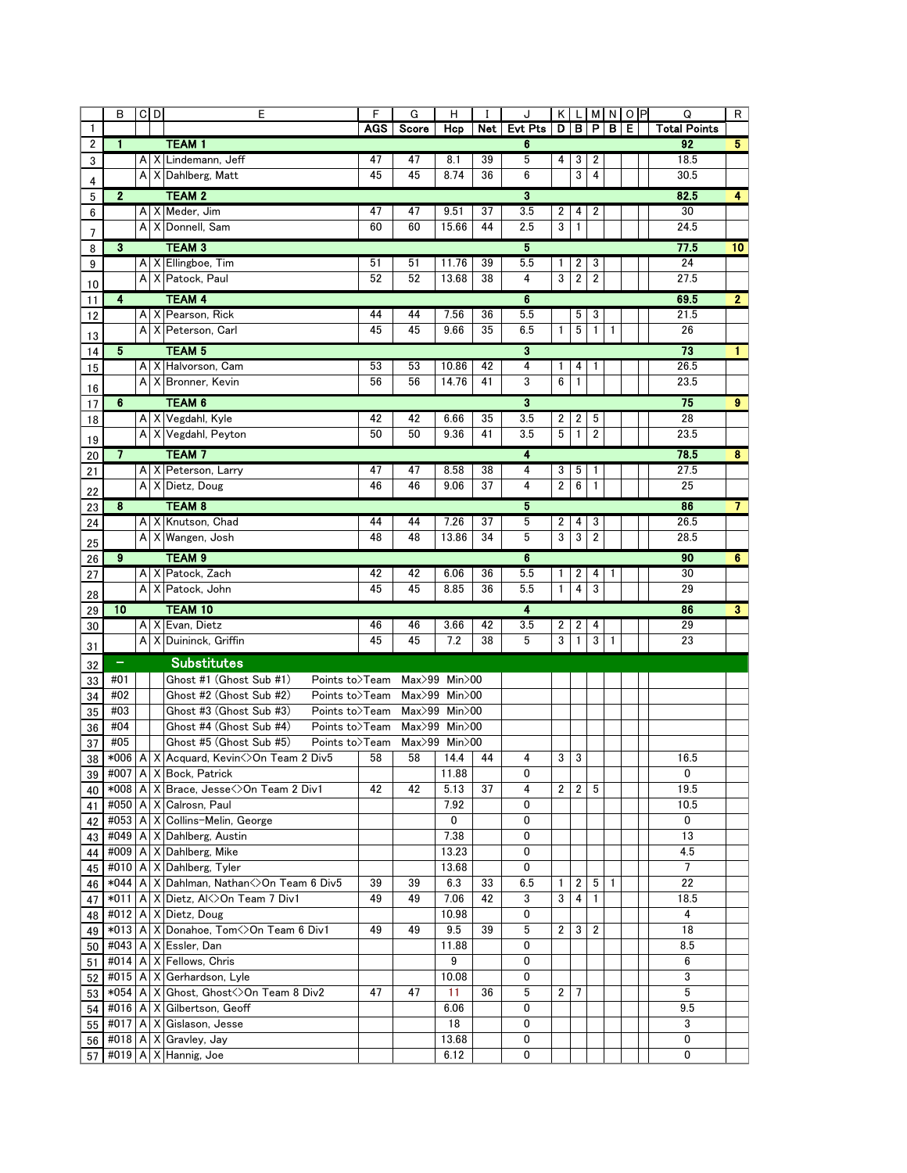|          | B                                                                                                    |  | $C$ <sub>D</sub> | Ε                                                  | F          | G      | н                                |    | J              |                 |                         |                  |              | KLMNOP | Q                   | R                       |
|----------|------------------------------------------------------------------------------------------------------|--|------------------|----------------------------------------------------|------------|--------|----------------------------------|----|----------------|-----------------|-------------------------|------------------|--------------|--------|---------------------|-------------------------|
| 1        |                                                                                                      |  |                  |                                                    | <b>AGS</b> | Score  | Hcp                              |    | Net Evt Pts    |                 |                         |                  | D B P B E    |        | <b>Total Points</b> |                         |
| 2        | $\mathbf{1}$                                                                                         |  |                  | <b>TEAM1</b>                                       |            |        |                                  |    | 6              |                 |                         |                  |              |        | 92                  | 5 <sub>1</sub>          |
| 3        |                                                                                                      |  |                  | A X Lindemann, Jeff                                | 47         | 47     | 8.1                              | 39 | 5              | 4               | 3                       | 2                |              |        | 18.5                |                         |
| 4        |                                                                                                      |  |                  | A X Dahlberg, Matt                                 | 45         | 45     | 8.74                             | 36 | 6              |                 | 3                       | 4                |              |        | 30.5                |                         |
| 5        | $\mathbf{2}$                                                                                         |  |                  | <b>TEAM 2</b>                                      |            |        |                                  |    | 3              |                 |                         |                  |              |        | 82.5                | $\overline{4}$          |
| 6        |                                                                                                      |  |                  | A X Meder, Jim                                     | 47         | 47     | 9.51                             | 37 | 3.5            | 2               | 4                       | 2                |              |        | 30                  |                         |
| 7        |                                                                                                      |  |                  | A X Donnell, Sam                                   | 60         | 60     | 15.66                            | 44 | 2.5            | 3               | $\mathbf{1}$            |                  |              |        | 24.5                |                         |
| 8        | $\mathbf{3}$                                                                                         |  |                  | <b>TEAM 3</b>                                      |            |        |                                  |    | 5              |                 |                         |                  |              |        | 77.5                | 10                      |
| 9        |                                                                                                      |  |                  | A   X   Ellingboe, Tim                             | 51         | 51     | 11.76                            | 39 | 5.5            | 1               | 2                       | 3                |              |        | 24                  |                         |
| 10       |                                                                                                      |  |                  | A X Patock, Paul                                   | 52         | 52     | 13.68                            | 38 | 4              | 3               | $\overline{\mathbf{c}}$ | 2                |              |        | 27.5                |                         |
| 11       | $\overline{\mathbf{4}}$                                                                              |  |                  | <b>TEAM 4</b>                                      |            |        |                                  |    | $6\phantom{a}$ |                 |                         |                  |              |        | 69.5                | 2                       |
| 12       |                                                                                                      |  |                  | A X Pearson, Rick                                  | 44         | 44     | 7.56                             | 36 | 5.5            |                 | 5                       | 3                |              |        | 21.5                |                         |
|          |                                                                                                      |  |                  | A X Peterson, Carl                                 | 45         | 45     | 9.66                             | 35 | 6.5            | $\mathbf{1}$    | 5                       | 1                | 1            |        | 26                  |                         |
| 13<br>14 | 5                                                                                                    |  |                  | <b>TEAM 5</b>                                      |            |        |                                  |    | 3              |                 |                         |                  |              |        | 73                  | $1 -$                   |
| 15       |                                                                                                      |  |                  | A X Halvorson, Cam                                 | 53         | 53     | 10.86                            | 42 | 4              | 1               | 4                       |                  |              |        | 26.5                |                         |
|          |                                                                                                      |  |                  | A X Bronner, Kevin                                 | 56         | 56     | 14.76                            | 41 | 3              | $6\phantom{1}6$ | $\mathbf{1}$            |                  |              |        | 23.5                |                         |
| 16       |                                                                                                      |  |                  | TEAM 6                                             |            |        |                                  |    |                |                 |                         |                  |              |        |                     |                         |
| 17       | 6                                                                                                    |  |                  | A X Vegdahl, Kyle                                  | 42         | 42     | 6.66                             | 35 | 3<br>3.5       |                 |                         |                  |              |        | 75<br>28            | $\overline{9}$          |
| 18       |                                                                                                      |  |                  | A X Vegdahl, Peyton                                | 50         | 50     | 9.36                             | 41 | 3.5            | 2<br>5          | 2<br>$\mathbf{1}$       | 5<br>$\mathbf 2$ |              |        | 23.5                |                         |
| 19       |                                                                                                      |  |                  |                                                    |            |        |                                  |    |                |                 |                         |                  |              |        |                     |                         |
| 20       | $\overline{7}$                                                                                       |  |                  | <b>TEAM7</b>                                       |            |        |                                  |    | 4              |                 |                         |                  |              |        | 78.5                | $\overline{\mathbf{8}}$ |
| 21       |                                                                                                      |  |                  | A X Peterson, Larry                                | 47         | 47     | 8.58                             | 38 | 4              | 3               | 5                       | 1                |              |        | 27.5                |                         |
| 22       |                                                                                                      |  |                  | A X Dietz, Doug                                    | 46         | 46     | 9.06                             | 37 | 4              | $\overline{2}$  | 6                       | 1                |              |        | 25                  |                         |
| 23       | 8                                                                                                    |  |                  | <b>TEAM 8</b>                                      |            |        |                                  |    | 5              |                 |                         |                  |              |        | 86                  | $\mathbf{7}$            |
| 24       |                                                                                                      |  |                  | A X Knutson, Chad                                  | 44         | 44     | 7.26                             | 37 | 5              | $\overline{c}$  | 4                       | 3                |              |        | 26.5                |                         |
| 25       |                                                                                                      |  |                  | A X Wangen, Josh                                   | 48         | 48     | 13.86                            | 34 | 5              | 3               | 3                       | $\overline{2}$   |              |        | 28.5                |                         |
| 26       | 9                                                                                                    |  |                  | TEAM <sub>9</sub>                                  |            |        |                                  |    | 6              |                 |                         |                  |              |        | 90                  | 6                       |
| 27       |                                                                                                      |  |                  | A X Patock, Zach                                   | 42         | 42     | 6.06                             | 36 | 5.5            | 1               | 2                       | 4                |              |        | 30                  |                         |
| 28       |                                                                                                      |  |                  | A X Patock, John                                   | 45         | 45     | 8.85                             | 36 | 5.5            | $\mathbf{1}$    | 4                       | 3                |              |        | 29                  |                         |
| 29       | 10                                                                                                   |  |                  | <b>TEAM 10</b>                                     |            |        |                                  |    | 4              |                 |                         |                  |              |        | 86                  | $\overline{\mathbf{3}}$ |
| 30       |                                                                                                      |  |                  | A X Evan, Dietz                                    | 46         | 46     | 3.66                             | 42 | 3.5            | 2               | 2                       | 4                |              |        | 29                  |                         |
|          |                                                                                                      |  |                  | A X Duininck, Griffin                              | 45         | 45     | 7.2                              | 38 | 5              | 3               | 1                       | 3                | 1            |        | 23                  |                         |
| 31       | $\equiv$                                                                                             |  |                  | <b>Substitutes</b>                                 |            |        |                                  |    |                |                 |                         |                  |              |        |                     |                         |
| 32       |                                                                                                      |  |                  |                                                    |            |        |                                  |    |                |                 |                         |                  |              |        |                     |                         |
| 33       | #01<br>Ghost #1 (Ghost Sub #1)<br>Points to>Team<br>Ghost #2 (Ghost Sub #2)<br>#02<br>Points to>Team |  |                  |                                                    |            | Max>99 | Max $>99$ Min $>00$<br>Min $>00$ |    |                |                 |                         |                  |              |        |                     |                         |
| 34       | #03                                                                                                  |  |                  | Ghost #3 (Ghost Sub #3)<br>Points to>Team          |            |        | Max>99 Min>00                    |    |                |                 |                         |                  |              |        |                     |                         |
| 35<br>36 | #04                                                                                                  |  |                  | Ghost #4 (Ghost Sub #4)<br>Points to>Team          |            | Max>99 | Min $>00$                        |    |                |                 |                         |                  |              |        |                     |                         |
| 37       | #05                                                                                                  |  |                  | Ghost #5 (Ghost Sub #5)<br>Points to>Team          |            | Max>99 | $Min$ $00$                       |    |                |                 |                         |                  |              |        |                     |                         |
| 38       | *006                                                                                                 |  |                  | A X Acquard, Kevinく>On Team 2 Div5                 | 58         | 58     | 14.4                             | 44 | 4              | 3               | 3                       |                  |              |        | 16.5                |                         |
|          |                                                                                                      |  |                  | 39 #007 A X Bock, Patrick                          |            |        | 11.88                            |    | 0              |                 |                         |                  |              |        | 0                   |                         |
| 40       |                                                                                                      |  |                  | *008   A   X   Brace, Jesse < > On Team 2 Div1     | 42         | 42     | 5.13                             | 37 | 4              | $\overline{2}$  | $\overline{c}$          | 5                |              |        | 19.5                |                         |
| 41       |                                                                                                      |  |                  | #050 A X Calrosn, Paul                             |            |        | 7.92                             |    | 0              |                 |                         |                  |              |        | 10.5                |                         |
| 42       |                                                                                                      |  |                  | #053   A   X   Collins-Melin, George               |            |        | 0                                |    | 0              |                 |                         |                  |              |        | 0                   |                         |
| 43       |                                                                                                      |  |                  | #049   A   X   Dahlberg, Austin                    |            |        | 7.38                             |    | 0              |                 |                         |                  |              |        | 13                  |                         |
| 44       |                                                                                                      |  |                  | #009   A   X   Dahlberg, Mike                      |            |        | 13.23                            |    | 0              |                 |                         |                  |              |        | 4.5                 |                         |
| 45       |                                                                                                      |  |                  | #010   A   X   Dahlberg, Tyler                     |            |        | 13.68                            |    | 0              |                 |                         |                  |              |        | $\overline{7}$      |                         |
| 46       |                                                                                                      |  |                  | *044   A   X   Dahlman, Nathan < > On Team 6 Div5  | 39         | 39     | 6.3                              | 33 | 6.5            | 1               | 2                       | 5                | $\mathbf{1}$ |        | 22                  |                         |
| 47       |                                                                                                      |  |                  | *011   A   X   Dietz, Al<>On Team 7 Div1           | 49         | 49     | 7.06                             | 42 | 3              | 3               | 4                       | 1                |              |        | 18.5                |                         |
| 48       |                                                                                                      |  |                  | #012   A   X   Dietz, Doug                         |            |        | 10.98                            |    | 0              |                 |                         |                  |              |        | 4                   |                         |
| 49       |                                                                                                      |  |                  | *013   A   X   Donahoe, Tom<>On Team 6 Div1        | 49         | 49     | 9.5                              | 39 | 5              | 2               | 3                       | 2                |              |        | 18                  |                         |
| 50       |                                                                                                      |  |                  | #043   A   X   Essler, Dan                         |            |        | 11.88                            |    | 0              |                 |                         |                  |              |        | 8.5                 |                         |
| 51       |                                                                                                      |  |                  | #014   A   X   Fellows, Chris                      |            |        | 9                                |    | 0              |                 |                         |                  |              |        | 6                   |                         |
| 52       |                                                                                                      |  |                  | #015   A   X   Gerhardson, Lyle                    |            |        | 10.08                            |    | 0              |                 |                         |                  |              |        | 3                   |                         |
| 53       |                                                                                                      |  |                  | *054   A   X   Ghost, Ghost < > >>> On Team 8 Div2 | 47         | 47     | 11                               | 36 | 5              | $\overline{2}$  | 7                       |                  |              |        | 5                   |                         |
| 54       |                                                                                                      |  |                  | #016   A   X   Gilbertson, Geoff                   |            |        | 6.06                             |    | 0              |                 |                         |                  |              |        | 9.5                 |                         |
| 55       |                                                                                                      |  |                  | #017   A   X   Gislason, Jesse                     |            |        | 18                               |    | 0              |                 |                         |                  |              |        | 3                   |                         |
| 56       |                                                                                                      |  |                  | $\#018$   A   X   Gravley, Jay                     |            |        | 13.68                            |    | 0              |                 |                         |                  |              |        | 0                   |                         |
| 57       |                                                                                                      |  |                  | #019   A   X   Hannig, Joe                         |            |        | 6.12                             |    | 0              |                 |                         |                  |              |        | 0                   |                         |